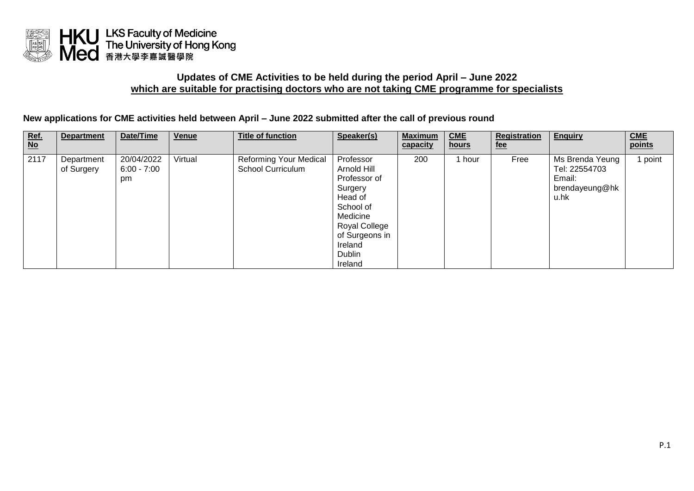

## **Updates of CME Activities to be held during the period April – June 2022 which are suitable for practising doctors who are not taking CME programme for specialists**

**New applications for CME activities held between April – June 2022 submitted after the call of previous round**

| $rac{\text{Ref.}}{\text{No}}$ | <b>Department</b>        | Date/Time                         | Venue   | <b>Title of function</b>                           | Speaker(s)                                                                                                                                                 | <b>Maximum</b><br>capacity | CME<br>hours | Registration<br>fee | <b>Enquiry</b>                                                       | <b>CME</b><br>points |
|-------------------------------|--------------------------|-----------------------------------|---------|----------------------------------------------------|------------------------------------------------------------------------------------------------------------------------------------------------------------|----------------------------|--------------|---------------------|----------------------------------------------------------------------|----------------------|
| 2117                          | Department<br>of Surgery | 20/04/2022<br>$6:00 - 7:00$<br>pm | Virtual | Reforming Your Medical<br><b>School Curriculum</b> | Professor<br>Arnold Hill<br>Professor of<br>Surgery<br>Head of<br>School of<br>Medicine<br>Royal College<br>of Surgeons in<br>Ireland<br>Dublin<br>Ireland | 200                        | hour .       | Free                | Ms Brenda Yeung<br>Tel: 22554703<br>Email:<br>brendayeung@hk<br>u.hk | point                |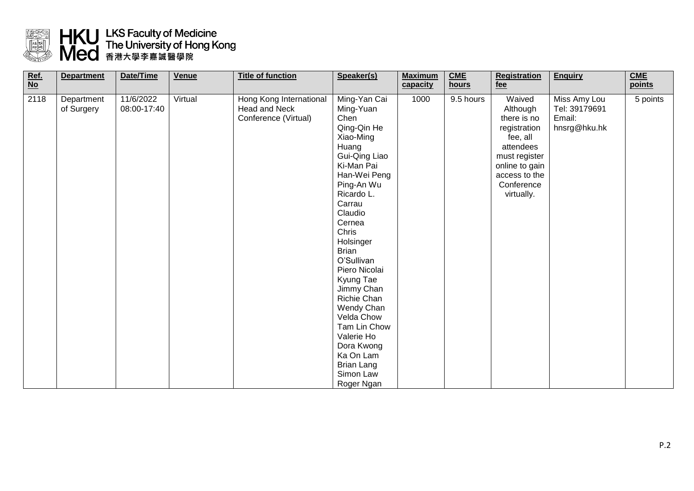

## **ESS HKU LKS Faculty of Medicine<br>The University of Hong Kong<br>Ned 香港大學李嘉誠醫學院**

| $Ref.\n\nNo$ | <b>Department</b>        | Date/Time                | Venue   | <b>Title of function</b>                                         | Speaker(s)                                                                                                                                                                                                                                                                                                                                                                                                                           | <b>Maximum</b><br>capacity | <b>CME</b><br>hours | <b>Registration</b><br>fee                                                                                                                                 | <b>Enquiry</b>                                          | CME<br>points |
|--------------|--------------------------|--------------------------|---------|------------------------------------------------------------------|--------------------------------------------------------------------------------------------------------------------------------------------------------------------------------------------------------------------------------------------------------------------------------------------------------------------------------------------------------------------------------------------------------------------------------------|----------------------------|---------------------|------------------------------------------------------------------------------------------------------------------------------------------------------------|---------------------------------------------------------|---------------|
| 2118         | Department<br>of Surgery | 11/6/2022<br>08:00-17:40 | Virtual | Hong Kong International<br>Head and Neck<br>Conference (Virtual) | Ming-Yan Cai<br>Ming-Yuan<br>Chen<br>Qing-Qin He<br>Xiao-Ming<br>Huang<br>Gui-Qing Liao<br>Ki-Man Pai<br>Han-Wei Peng<br>Ping-An Wu<br>Ricardo L.<br>Carrau<br>Claudio<br>Cernea<br>Chris<br>Holsinger<br><b>Brian</b><br>O'Sullivan<br>Piero Nicolai<br>Kyung Tae<br>Jimmy Chan<br>Richie Chan<br>Wendy Chan<br>Velda Chow<br>Tam Lin Chow<br>Valerie Ho<br>Dora Kwong<br>Ka On Lam<br><b>Brian Lang</b><br>Simon Law<br>Roger Ngan | 1000                       | 9.5 hours           | Waived<br>Although<br>there is no<br>registration<br>fee, all<br>attendees<br>must register<br>online to gain<br>access to the<br>Conference<br>virtually. | Miss Amy Lou<br>Tel: 39179691<br>Email:<br>hnsrg@hku.hk | 5 points      |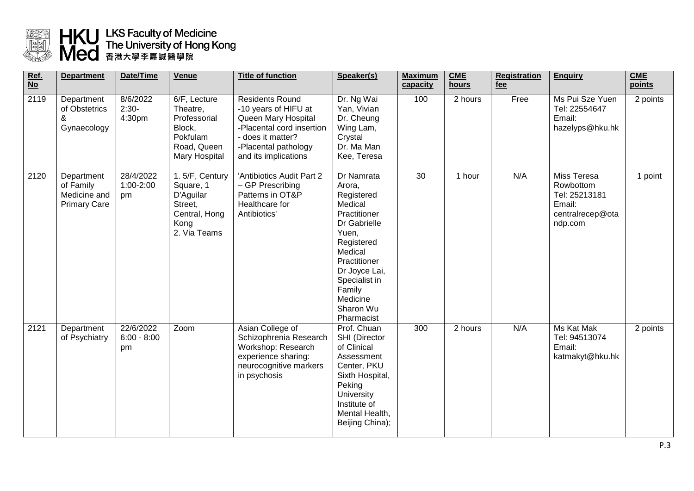

## HKU LKS Faculty of Medicine<br>The University of Hong Kong<br>Med 香港大學李嘉誠醫學院

| Ref.<br>$\overline{No}$ | <b>Department</b>                                              | Date/Time                        | <b>Venue</b>                                                                                   | <b>Title of function</b>                                                                                                                                                | Speaker(s)                                                                                                                                                                                                         | <b>Maximum</b><br>capacity | <b>CME</b><br><b>hours</b> | <b>Registration</b><br>fee | <b>Enquiry</b>                                                                     | <b>CME</b><br>points |
|-------------------------|----------------------------------------------------------------|----------------------------------|------------------------------------------------------------------------------------------------|-------------------------------------------------------------------------------------------------------------------------------------------------------------------------|--------------------------------------------------------------------------------------------------------------------------------------------------------------------------------------------------------------------|----------------------------|----------------------------|----------------------------|------------------------------------------------------------------------------------|----------------------|
| 2119                    | Department<br>of Obstetrics<br>&<br>Gynaecology                | 8/6/2022<br>$2:30-$<br>4:30pm    | 6/F, Lecture<br>Theatre,<br>Professorial<br>Block,<br>Pokfulam<br>Road, Queen<br>Mary Hospital | <b>Residents Round</b><br>-10 years of HIFU at<br>Queen Mary Hospital<br>-Placental cord insertion<br>- does it matter?<br>-Placental pathology<br>and its implications | Dr. Ng Wai<br>Yan, Vivian<br>Dr. Cheung<br>Wing Lam,<br>Crystal<br>Dr. Ma Man<br>Kee, Teresa                                                                                                                       | 100                        | 2 hours                    | Free                       | Ms Pui Sze Yuen<br>Tel: 22554647<br>Email:<br>hazelyps@hku.hk                      | 2 points             |
| 2120                    | Department<br>of Family<br>Medicine and<br><b>Primary Care</b> | 28/4/2022<br>1:00-2:00<br>pm     | 1.5/F, Century<br>Square, 1<br>D'Aguilar<br>Street,<br>Central, Hong<br>Kong<br>2. Via Teams   | 'Antibiotics Audit Part 2<br>- GP Prescribing<br>Patterns in OT&P<br>Healthcare for<br>Antibiotics'                                                                     | Dr Namrata<br>Arora,<br>Registered<br>Medical<br>Practitioner<br>Dr Gabrielle<br>Yuen,<br>Registered<br>Medical<br>Practitioner<br>Dr Joyce Lai,<br>Specialist in<br>Family<br>Medicine<br>Sharon Wu<br>Pharmacist | 30                         | 1 hour                     | N/A                        | Miss Teresa<br>Rowbottom<br>Tel: 25213181<br>Email:<br>centralrecep@ota<br>ndp.com | 1 point              |
| 2121                    | Department<br>of Psychiatry                                    | 22/6/2022<br>$6:00 - 8:00$<br>pm | Zoom                                                                                           | Asian College of<br>Schizophrenia Research<br>Workshop: Research<br>experience sharing:<br>neurocognitive markers<br>in psychosis                                       | Prof. Chuan<br>SHI (Director<br>of Clinical<br>Assessment<br>Center, PKU<br>Sixth Hospital,<br>Peking<br><b>University</b><br>Institute of<br>Mental Health,<br>Beijing China);                                    | 300                        | 2 hours                    | N/A                        | Ms Kat Mak<br>Tel: 94513074<br>Email:<br>katmakyt@hku.hk                           | 2 points             |